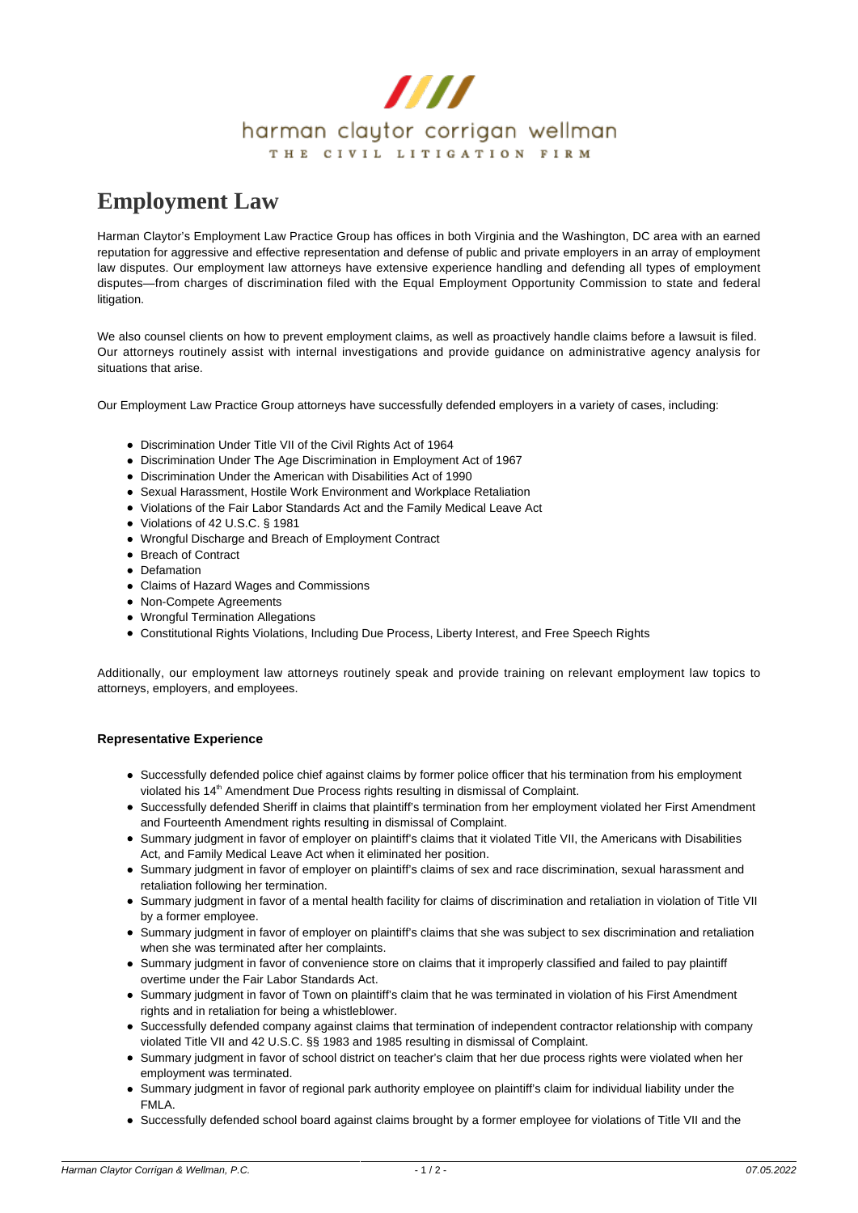

## **[Employment Law](https://www.hccw.com/practice-areas/employment-law/)**

Harman Claytor's Employment Law Practice Group has offices in both Virginia and the Washington, DC area with an earned reputation for aggressive and effective representation and defense of public and private employers in an array of employment law disputes. Our employment law attorneys have extensive experience handling and defending all types of employment disputes—from charges of discrimination filed with the Equal Employment Opportunity Commission to state and federal litigation.

We also counsel clients on how to prevent employment claims, as well as proactively handle claims before a lawsuit is filed. Our attorneys routinely assist with internal investigations and provide guidance on administrative agency analysis for situations that arise.

Our Employment Law Practice Group attorneys have successfully defended employers in a variety of cases, including:

- Discrimination Under Title VII of the Civil Rights Act of 1964
- Discrimination Under The Age Discrimination in Employment Act of 1967
- Discrimination Under the American with Disabilities Act of 1990
- Sexual Harassment, Hostile Work Environment and Workplace Retaliation
- Violations of the Fair Labor Standards Act and the Family Medical Leave Act
- Violations of 42 U.S.C. § 1981
- Wrongful Discharge and Breach of Employment Contract
- Breach of Contract
- Defamation
- Claims of Hazard Wages and Commissions
- Non-Compete Agreements
- Wrongful Termination Allegations
- Constitutional Rights Violations, Including Due Process, Liberty Interest, and Free Speech Rights

Additionally, our employment law attorneys routinely speak and provide training on relevant employment law topics to attorneys, employers, and employees.

## **Representative Experience**

- Successfully defended police chief against claims by former police officer that his termination from his employment violated his 14<sup>th</sup> Amendment Due Process rights resulting in dismissal of Complaint.
- Successfully defended Sheriff in claims that plaintiff's termination from her employment violated her First Amendment and Fourteenth Amendment rights resulting in dismissal of Complaint.
- Summary judgment in favor of employer on plaintiff's claims that it violated Title VII, the Americans with Disabilities Act, and Family Medical Leave Act when it eliminated her position.
- Summary judgment in favor of employer on plaintiff's claims of sex and race discrimination, sexual harassment and retaliation following her termination.
- Summary judgment in favor of a mental health facility for claims of discrimination and retaliation in violation of Title VII by a former employee.
- Summary judgment in favor of employer on plaintiff's claims that she was subject to sex discrimination and retaliation when she was terminated after her complaints.
- Summary judgment in favor of convenience store on claims that it improperly classified and failed to pay plaintiff overtime under the Fair Labor Standards Act.
- Summary judgment in favor of Town on plaintiff's claim that he was terminated in violation of his First Amendment rights and in retaliation for being a whistleblower.
- Successfully defended company against claims that termination of independent contractor relationship with company violated Title VII and 42 U.S.C. §§ 1983 and 1985 resulting in dismissal of Complaint.
- Summary judgment in favor of school district on teacher's claim that her due process rights were violated when her employment was terminated.
- Summary judgment in favor of regional park authority employee on plaintiff's claim for individual liability under the FMLA.
- Successfully defended school board against claims brought by a former employee for violations of Title VII and the